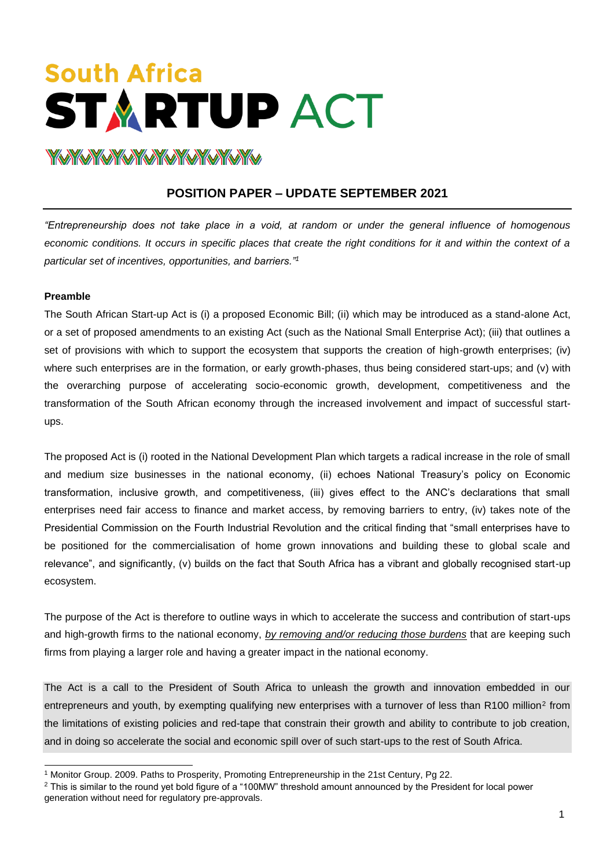# **South Africa STARTUP ACT YAYAYAYAYAYAYAYAYAYAY**

# **POSITION PAPER – UPDATE SEPTEMBER 2021**

*"Entrepreneurship does not take place in a void, at random or under the general influence of homogenous economic conditions. It occurs in specific places that create the right conditions for it and within the context of a particular set of incentives, opportunities, and barriers."<sup>1</sup>*

#### **Preamble**

The South African Start-up Act is (i) a proposed Economic Bill; (ii) which may be introduced as a stand-alone Act, or a set of proposed amendments to an existing Act (such as the National Small Enterprise Act); (iii) that outlines a set of provisions with which to support the ecosystem that supports the creation of high-growth enterprises; (iv) where such enterprises are in the formation, or early growth-phases, thus being considered start-ups; and (v) with the overarching purpose of accelerating socio-economic growth, development, competitiveness and the transformation of the South African economy through the increased involvement and impact of successful startups.

The proposed Act is (i) rooted in the National Development Plan which targets a radical increase in the role of small and medium size businesses in the national economy, (ii) echoes National Treasury's policy on Economic transformation, inclusive growth, and competitiveness, (iii) gives effect to the ANC's declarations that small enterprises need fair access to finance and market access, by removing barriers to entry, (iv) takes note of the Presidential Commission on the Fourth Industrial Revolution and the critical finding that "small enterprises have to be positioned for the commercialisation of home grown innovations and building these to global scale and relevance", and significantly, (v) builds on the fact that South Africa has a vibrant and globally recognised start-up ecosystem.

The purpose of the Act is therefore to outline ways in which to accelerate the success and contribution of start-ups and high-growth firms to the national economy, *by removing and/or reducing those burdens* that are keeping such firms from playing a larger role and having a greater impact in the national economy.

The Act is a call to the President of South Africa to unleash the growth and innovation embedded in our entrepreneurs and youth, by exempting qualifying new enterprises with a turnover of less than R100 million<sup>2</sup> from the limitations of existing policies and red-tape that constrain their growth and ability to contribute to job creation, and in doing so accelerate the social and economic spill over of such start-ups to the rest of South Africa.

<sup>1</sup> Monitor Group. 2009. Paths to Prosperity, Promoting Entrepreneurship in the 21st Century, Pg 22.

<sup>&</sup>lt;sup>2</sup> This is similar to the round yet bold figure of a "100MW" threshold amount announced by the President for local power generation without need for regulatory pre-approvals.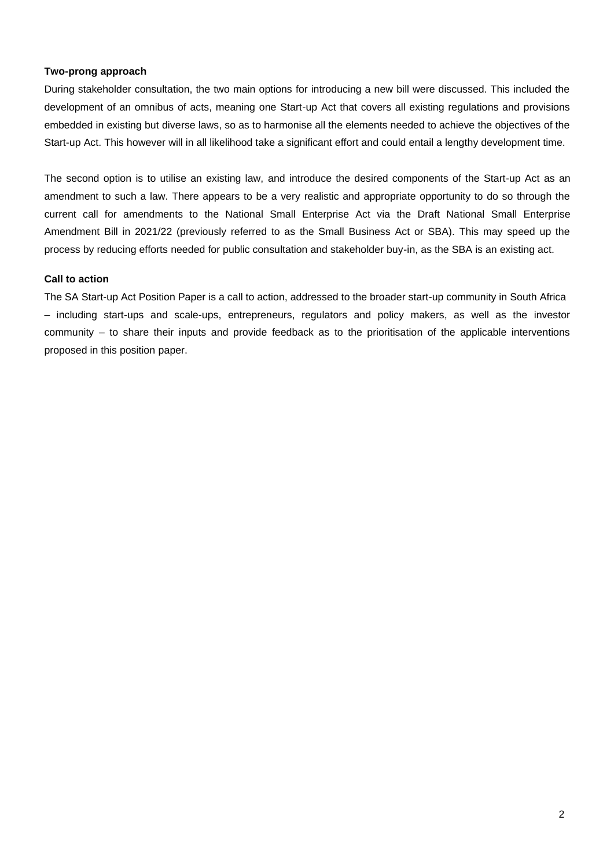#### **Two-prong approach**

During stakeholder consultation, the two main options for introducing a new bill were discussed. This included the development of an omnibus of acts, meaning one Start-up Act that covers all existing regulations and provisions embedded in existing but diverse laws, so as to harmonise all the elements needed to achieve the objectives of the Start-up Act. This however will in all likelihood take a significant effort and could entail a lengthy development time.

The second option is to utilise an existing law, and introduce the desired components of the Start-up Act as an amendment to such a law. There appears to be a very realistic and appropriate opportunity to do so through the current call for amendments to the National Small Enterprise Act via the Draft National Small Enterprise Amendment Bill in 2021/22 (previously referred to as the Small Business Act or SBA). This may speed up the process by reducing efforts needed for public consultation and stakeholder buy-in, as the SBA is an existing act.

#### **Call to action**

The SA Start-up Act Position Paper is a call to action, addressed to the broader start-up community in South Africa – including start-ups and scale-ups, entrepreneurs, regulators and policy makers, as well as the investor community – to share their inputs and provide feedback as to the prioritisation of the applicable interventions proposed in this position paper.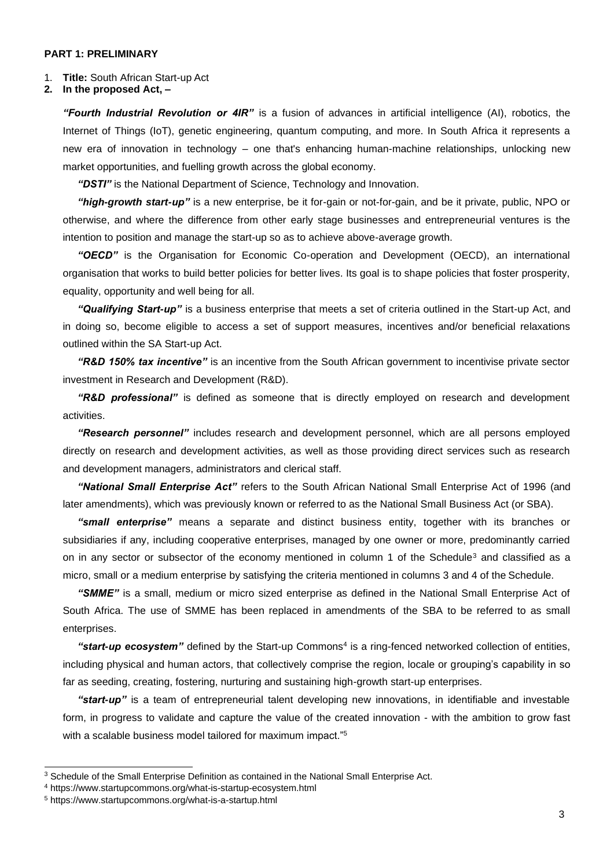#### **PART 1: PRELIMINARY**

#### 1. **Title:** South African Start-up Act

**2. In the proposed Act, –**

*"Fourth Industrial Revolution or 4IR"* is a fusion of advances in artificial intelligence (AI), robotics, the Internet of Things (IoT), genetic engineering, quantum computing, and more. In South Africa it represents a new era of innovation in technology – one that's enhancing human-machine relationships, unlocking new market opportunities, and fuelling growth across the global economy.

*"DSTI"* is the National Department of Science, Technology and Innovation.

*"high-growth start-up"* is a new enterprise, be it for-gain or not-for-gain, and be it private, public, NPO or otherwise, and where the difference from other early stage businesses and entrepreneurial ventures is the intention to position and manage the start-up so as to achieve above-average growth.

*"OECD"* is the Organisation for Economic Co-operation and Development (OECD), an international organisation that works to build better policies for better lives. Its goal is to shape policies that foster prosperity, equality, opportunity and well being for all.

*"Qualifying Start-up"* is a business enterprise that meets a set of criteria outlined in the Start-up Act, and in doing so, become eligible to access a set of support measures, incentives and/or beneficial relaxations outlined within the SA Start-up Act.

*"R&D 150% tax incentive"* is an incentive from the South African government to incentivise private sector investment in Research and Development (R&D).

*"R&D professional"* is defined as someone that is directly employed on research and development activities.

*"Research personnel"* includes research and development personnel, which are all persons employed directly on research and development activities, as well as those providing direct services such as research and development managers, administrators and clerical staff.

*"National Small Enterprise Act"* refers to the South African National Small Enterprise Act of 1996 (and later amendments), which was previously known or referred to as the National Small Business Act (or SBA).

*"small enterprise"* means a separate and distinct business entity, together with its branches or subsidiaries if any, including cooperative enterprises, managed by one owner or more, predominantly carried on in any sector or subsector of the economy mentioned in column 1 of the Schedule<sup>3</sup> and classified as a micro, small or a medium enterprise by satisfying the criteria mentioned in columns 3 and 4 of the Schedule.

*"SMME"* is a small, medium or micro sized enterprise as defined in the National Small Enterprise Act of South Africa. The use of SMME has been replaced in amendments of the SBA to be referred to as small enterprises.

"start-up ecosystem" defined by the Start-up Commons<sup>4</sup> is a ring-fenced networked collection of entities, including physical and human actors, that collectively comprise the region, locale or grouping's capability in so far as seeding, creating, fostering, nurturing and sustaining high-growth start-up enterprises.

*"start-up"* is a team of entrepreneurial talent developing new innovations, in identifiable and investable form, in progress to validate and capture the value of the created innovation - with the ambition to grow fast with a scalable business model tailored for maximum impact."<sup>5</sup>

<sup>&</sup>lt;sup>3</sup> Schedule of the Small Enterprise Definition as contained in the National Small Enterprise Act.

<sup>4</sup> https:/[/www.startupcommons.org/what-is-startup-ecosystem.html](http://www.startupcommons.org/what-is-startup-ecosystem.html)

<sup>5</sup> https:/[/www.startupcommons.org/what-is-a-startup.html](http://www.startupcommons.org/what-is-a-startup.html)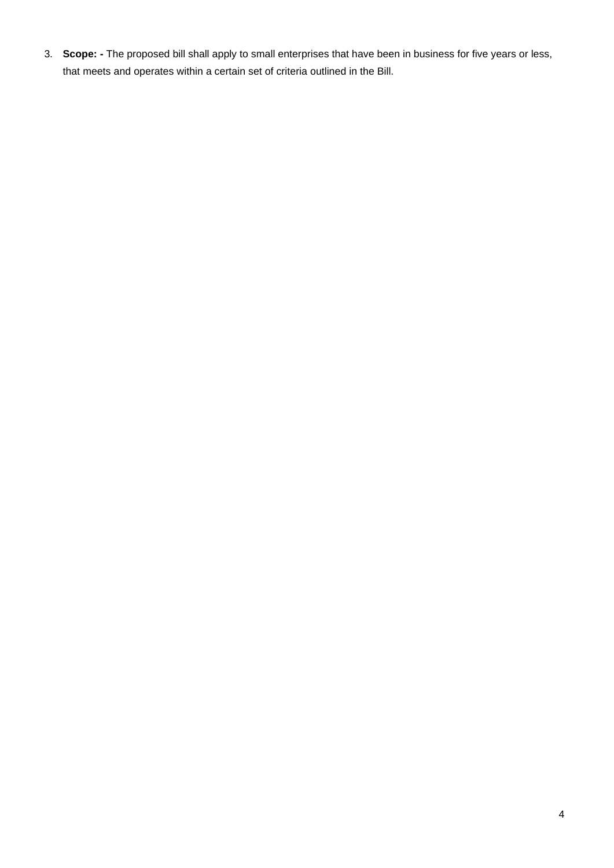3. **Scope: -** The proposed bill shall apply to small enterprises that have been in business for five years or less, that meets and operates within a certain set of criteria outlined in the Bill.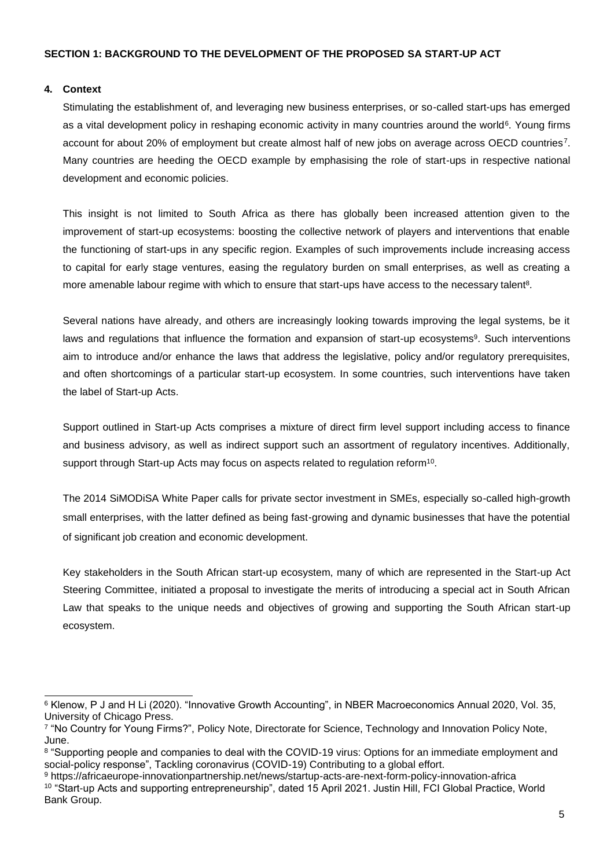#### **4. Context**

Stimulating the establishment of, and leveraging new business enterprises, or so-called start-ups has emerged as a vital development policy in reshaping economic activity in many countries around the world<sup>6</sup>. Young firms account for about 20% of employment but create almost half of new jobs on average across OECD countries<sup>7</sup>. Many countries are heeding the OECD example by emphasising the role of start-ups in respective national development and economic policies.

This insight is not limited to South Africa as there has globally been increased attention given to the improvement of start-up ecosystems: boosting the collective network of players and interventions that enable the functioning of start-ups in any specific region. Examples of such improvements include increasing access to capital for early stage ventures, easing the regulatory burden on small enterprises, as well as creating a more amenable labour regime with which to ensure that start-ups have access to the necessary talent<sup>8</sup>.

Several nations have already, and others are increasingly looking towards improving the legal systems, be it laws and regulations that influence the formation and expansion of start-up ecosystems<sup>9</sup>. Such interventions aim to introduce and/or enhance the laws that address the legislative, policy and/or regulatory prerequisites, and often shortcomings of a particular start-up ecosystem. In some countries, such interventions have taken the label of Start-up Acts.

Support outlined in Start-up Acts comprises a mixture of direct firm level support including access to finance and business advisory, as well as indirect support such an assortment of regulatory incentives. Additionally, support through Start-up Acts may focus on aspects related to regulation reform<sup>10</sup>.

The 2014 SiMODiSA White Paper calls for private sector investment in SMEs, especially so-called high-growth small enterprises, with the latter defined as being fast‐growing and dynamic businesses that have the potential of significant job creation and economic development.

Key stakeholders in the South African start-up ecosystem, many of which are represented in the Start-up Act Steering Committee, initiated a proposal to investigate the merits of introducing a special act in South African Law that speaks to the unique needs and objectives of growing and supporting the South African start-up ecosystem.

<sup>6</sup> Klenow, P J and H Li (2020). "Innovative Growth Accounting", in NBER Macroeconomics Annual 2020, Vol. 35, University of Chicago Press.

<sup>7</sup> "No Country for Young Firms?", Policy Note, Directorate for Science, Technology and Innovation Policy Note, June.

<sup>8</sup> "Supporting people and companies to deal with the COVID-19 virus: Options for an immediate employment and social-policy response", Tackling coronavirus (COVID-19) Contributing to a global effort.

<sup>9</sup> https://africaeurope-innovationpartnership.net/news/startup-acts-are-next-form-policy-innovation-africa <sup>10</sup> "Start-up Acts and supporting entrepreneurship", dated 15 April 2021. Justin Hill, FCI Global Practice, World Bank Group.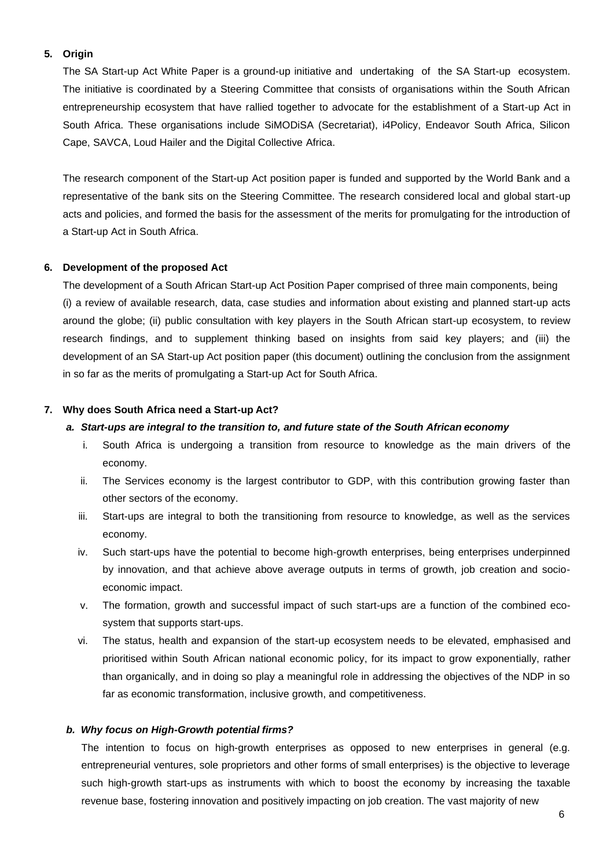#### **5. Origin**

The SA Start-up Act White Paper is a ground-up initiative and undertaking of the SA Start-up ecosystem. The initiative is coordinated by a Steering Committee that consists of organisations within the South African entrepreneurship ecosystem that have rallied together to advocate for the establishment of a Start-up Act in South Africa. These organisations include SiMODiSA (Secretariat), i4Policy, Endeavor South Africa, Silicon Cape, SAVCA, Loud Hailer and the Digital Collective Africa.

The research component of the Start-up Act position paper is funded and supported by the World Bank and a representative of the bank sits on the Steering Committee. The research considered local and global start-up acts and policies, and formed the basis for the assessment of the merits for promulgating for the introduction of a Start-up Act in South Africa.

#### **6. Development of the proposed Act**

The development of a South African Start-up Act Position Paper comprised of three main components, being (i) a review of available research, data, case studies and information about existing and planned start-up acts around the globe; (ii) public consultation with key players in the South African start-up ecosystem, to review research findings, and to supplement thinking based on insights from said key players; and (iii) the development of an SA Start-up Act position paper (this document) outlining the conclusion from the assignment in so far as the merits of promulgating a Start-up Act for South Africa.

#### **7. Why does South Africa need a Start-up Act?**

#### *a. Start-ups are integral to the transition to, and future state of the South African economy*

- i. South Africa is undergoing a transition from resource to knowledge as the main drivers of the economy.
- ii. The Services economy is the largest contributor to GDP, with this contribution growing faster than other sectors of the economy.
- iii. Start-ups are integral to both the transitioning from resource to knowledge, as well as the services economy.
- iv. Such start-ups have the potential to become high-growth enterprises, being enterprises underpinned by innovation, and that achieve above average outputs in terms of growth, job creation and socioeconomic impact.
- v. The formation, growth and successful impact of such start-ups are a function of the combined ecosystem that supports start-ups.
- vi. The status, health and expansion of the start-up ecosystem needs to be elevated, emphasised and prioritised within South African national economic policy, for its impact to grow exponentially, rather than organically, and in doing so play a meaningful role in addressing the objectives of the NDP in so far as economic transformation, inclusive growth, and competitiveness.

#### *b. Why focus on High-Growth potential firms?*

The intention to focus on high-growth enterprises as opposed to new enterprises in general (e.g. entrepreneurial ventures, sole proprietors and other forms of small enterprises) is the objective to leverage such high-growth start-ups as instruments with which to boost the economy by increasing the taxable revenue base, fostering innovation and positively impacting on job creation. The vast majority of new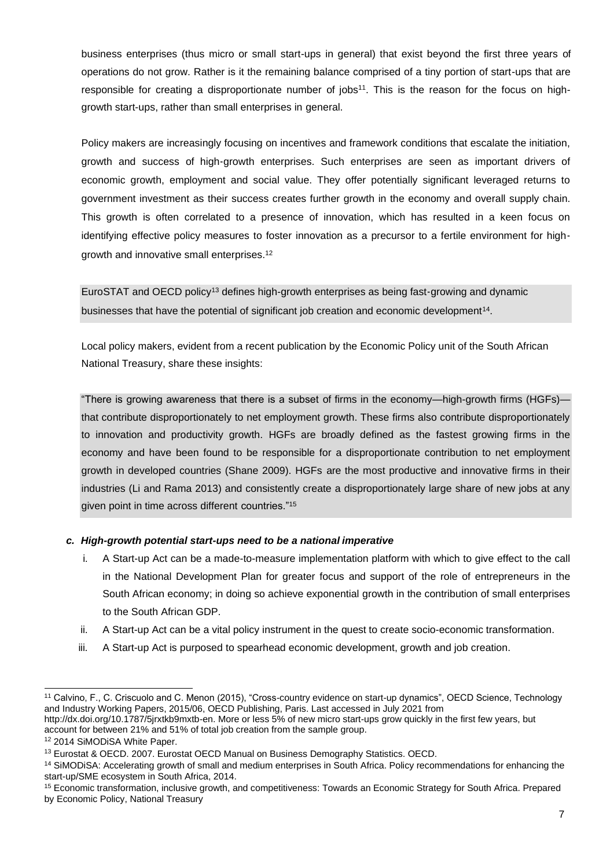business enterprises (thus micro or small start-ups in general) that exist beyond the first three years of operations do not grow. Rather is it the remaining balance comprised of a tiny portion of start-ups that are responsible for creating a disproportionate number of jobs<sup>11</sup>. This is the reason for the focus on highgrowth start-ups, rather than small enterprises in general.

Policy makers are increasingly focusing on incentives and framework conditions that escalate the initiation, growth and success of high‐growth enterprises. Such enterprises are seen as important drivers of economic growth, employment and social value. They offer potentially significant leveraged returns to government investment as their success creates further growth in the economy and overall supply chain. This growth is often correlated to a presence of innovation, which has resulted in a keen focus on identifying effective policy measures to foster innovation as a precursor to a fertile environment for high‐ growth and innovative small enterprises.<sup>12</sup>

EuroSTAT and OECD policy<sup>13</sup> defines high-growth enterprises as being fast‐growing and dynamic businesses that have the potential of significant job creation and economic development<sup>14</sup>.

Local policy makers, evident from a recent publication by the Economic Policy unit of the South African National Treasury, share these insights:

"There is growing awareness that there is a subset of firms in the economy—high-growth firms (HGFs) that contribute disproportionately to net employment growth. These firms also contribute disproportionately to innovation and productivity growth. HGFs are broadly defined as the fastest growing firms in the economy and have been found to be responsible for a disproportionate contribution to net employment growth in developed countries (Shane 2009). HGFs are the most productive and innovative firms in their industries (Li and Rama 2013) and consistently create a disproportionately large share of new jobs at any given point in time across different countries."<sup>15</sup>

#### *c. High-growth potential start-ups need to be a national imperative*

- i. A Start-up Act can be a made-to-measure implementation platform with which to give effect to the call in the National Development Plan for greater focus and support of the role of entrepreneurs in the South African economy; in doing so achieve exponential growth in the contribution of small enterprises to the South African GDP.
- ii. A Start-up Act can be a vital policy instrument in the quest to create socio-economic transformation.
- iii. A Start-up Act is purposed to spearhead economic development, growth and job creation.

<sup>&</sup>lt;sup>11</sup> Calvino, F., C. Criscuolo and C. Menon (2015), "Cross-country evidence on start-up dynamics", OECD Science, Technology and Industry Working Papers, 2015/06, OECD Publishing, Paris. Last accessed in July 2021 fro[m](http://dx.doi.org/10.1787/5jrxtkb9mxtb-en) [http://dx.doi.org/10.1787/5jrxtkb9mxtb-en. M](http://dx.doi.org/10.1787/5jrxtkb9mxtb-en)ore or less 5% of new micro start-ups grow quickly in the first few years, but

account for between 21% and 51% of total job creation from the sample group.

<sup>12</sup> 2014 SiMODiSA White Paper.

<sup>13</sup> Eurostat & OECD. 2007. Eurostat OECD Manual on Business Demography Statistics. OECD.

<sup>14</sup> SiMODiSA: Accelerating growth of small and medium enterprises in South Africa. Policy recommendations for enhancing the start-up/SME ecosystem in South Africa, 2014.

<sup>15</sup> Economic transformation, inclusive growth, and competitiveness: Towards an Economic Strategy for South Africa. Prepared by Economic Policy, National Treasury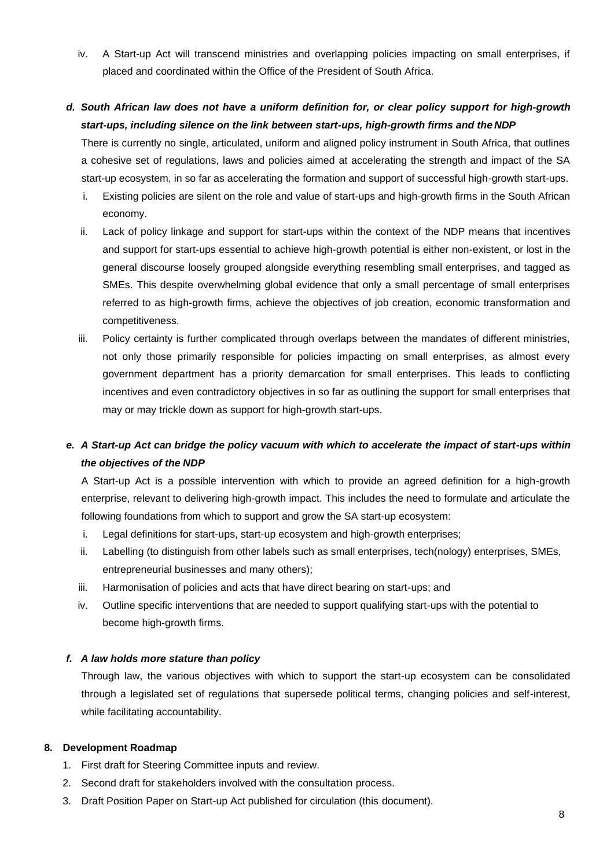iv. A Start-up Act will transcend ministries and overlapping policies impacting on small enterprises, if placed and coordinated within the Office of the President of South Africa.

# *d. South African law does not have a uniform definition for, or clear policy support for high-growth start-ups, including silence on the link between start-ups, high-growth firms and the NDP*

There is currently no single, articulated, uniform and aligned policy instrument in South Africa, that outlines a cohesive set of regulations, laws and policies aimed at accelerating the strength and impact of the SA start-up ecosystem, in so far as accelerating the formation and support of successful high-growth start-ups.

- i. Existing policies are silent on the role and value of start-ups and high-growth firms in the South African economy.
- ii. Lack of policy linkage and support for start-ups within the context of the NDP means that incentives and support for start-ups essential to achieve high-growth potential is either non-existent, or lost in the general discourse loosely grouped alongside everything resembling small enterprises, and tagged as SMEs. This despite overwhelming global evidence that only a small percentage of small enterprises referred to as high-growth firms, achieve the objectives of job creation, economic transformation and competitiveness.
- iii. Policy certainty is further complicated through overlaps between the mandates of different ministries, not only those primarily responsible for policies impacting on small enterprises, as almost every government department has a priority demarcation for small enterprises. This leads to conflicting incentives and even contradictory objectives in so far as outlining the support for small enterprises that may or may trickle down as support for high-growth start-ups.

# *e. A Start-up Act can bridge the policy vacuum with which to accelerate the impact of start-ups within the objectives of the NDP*

A Start-up Act is a possible intervention with which to provide an agreed definition for a high-growth enterprise, relevant to delivering high-growth impact. This includes the need to formulate and articulate the following foundations from which to support and grow the SA start-up ecosystem:

- i. Legal definitions for start-ups, start-up ecosystem and high-growth enterprises;
- ii. Labelling (to distinguish from other labels such as small enterprises, tech(nology) enterprises, SMEs, entrepreneurial businesses and many others);
- iii. Harmonisation of policies and acts that have direct bearing on start-ups; and
- iv. Outline specific interventions that are needed to support qualifying start-ups with the potential to become high-growth firms.

#### *f. A law holds more stature than policy*

Through law, the various objectives with which to support the start-up ecosystem can be consolidated through a legislated set of regulations that supersede political terms, changing policies and self-interest, while facilitating accountability.

#### **8. Development Roadmap**

- 1. First draft for Steering Committee inputs and review.
- 2. Second draft for stakeholders involved with the consultation process.
- 3. Draft Position Paper on Start-up Act published for circulation (this document).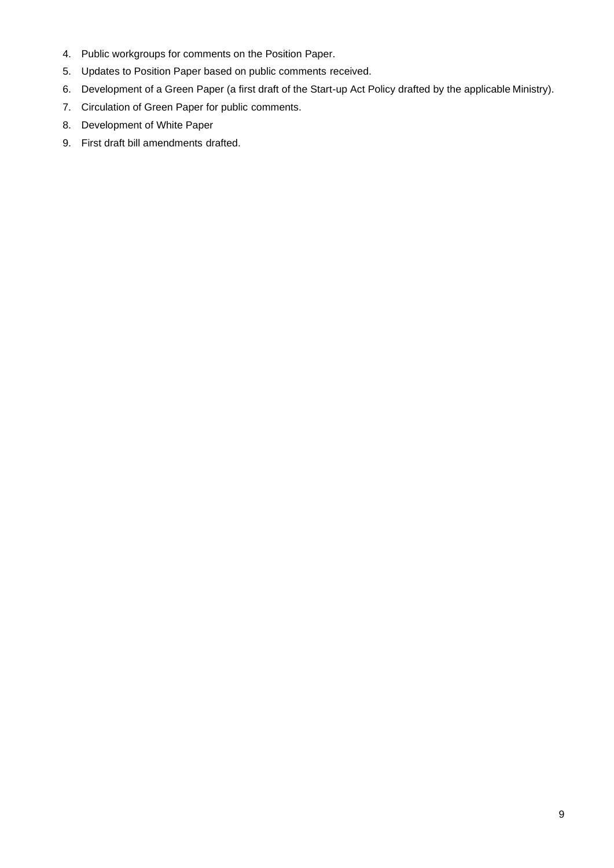- 4. Public workgroups for comments on the Position Paper.
- 5. Updates to Position Paper based on public comments received.
- 6. Development of a Green Paper (a first draft of the Start-up Act Policy drafted by the applicable Ministry).
- 7. Circulation of Green Paper for public comments.
- 8. Development of White Paper
- 9. First draft bill amendments drafted.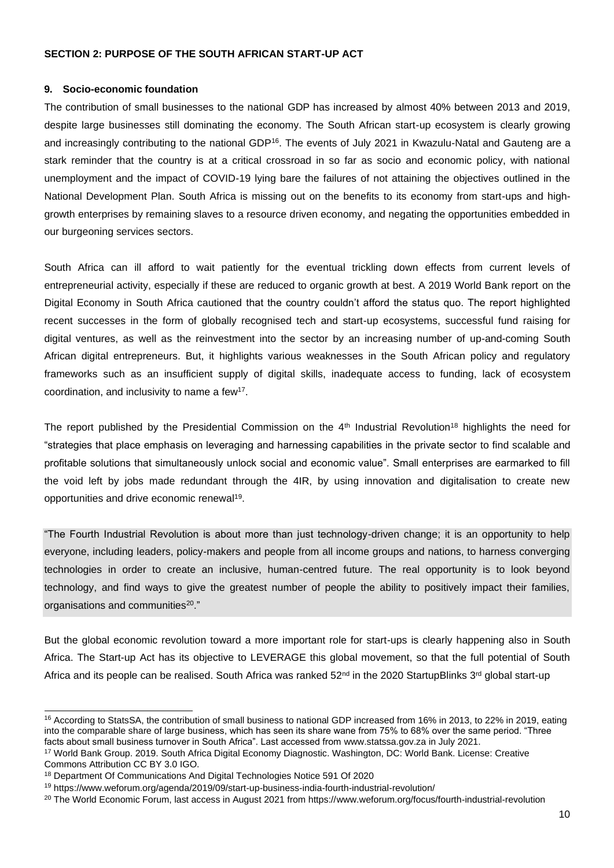#### **SECTION 2: PURPOSE OF THE SOUTH AFRICAN START-UP ACT**

#### **9. Socio-economic foundation**

The contribution of small businesses to the national GDP has increased by almost 40% between 2013 and 2019, despite large businesses still dominating the economy. The South African start-up ecosystem is clearly growing and increasingly contributing to the national GDP<sup>16</sup>. The events of July 2021 in Kwazulu-Natal and Gauteng are a stark reminder that the country is at a critical crossroad in so far as socio and economic policy, with national unemployment and the impact of COVID-19 lying bare the failures of not attaining the objectives outlined in the National Development Plan. South Africa is missing out on the benefits to its economy from start-ups and highgrowth enterprises by remaining slaves to a resource driven economy, and negating the opportunities embedded in our burgeoning services sectors.

South Africa can ill afford to wait patiently for the eventual trickling down effects from current levels of entrepreneurial activity, especially if these are reduced to organic growth at best. A 2019 World Bank report on the Digital Economy in South Africa cautioned that the country couldn't afford the status quo. The report highlighted recent successes in the form of globally recognised tech and start-up ecosystems, successful fund raising for digital ventures, as well as the reinvestment into the sector by an increasing number of up-and-coming South African digital entrepreneurs. But, it highlights various weaknesses in the South African policy and regulatory frameworks such as an insufficient supply of digital skills, inadequate access to funding, lack of ecosystem coordination, and inclusivity to name a few<sup>17</sup> .

The report published by the Presidential Commission on the  $4<sup>th</sup>$  Industrial Revolution<sup>18</sup> highlights the need for "strategies that place emphasis on leveraging and harnessing capabilities in the private sector to find scalable and profitable solutions that simultaneously unlock social and economic value". Small enterprises are earmarked to fill the void left by jobs made redundant through the 4IR, by using innovation and digitalisation to create new opportunities and drive economic renewal<sup>19</sup>.

"The Fourth Industrial Revolution is about more than just technology-driven change; it is an opportunity to help everyone, including leaders, policy-makers and people from all income groups and nations, to harness converging technologies in order to create an inclusive, human-centred future. The real opportunity is to look beyond technology, and find ways to give the greatest number of people the ability to positively impact their families, organisations and communities<sup>20</sup>."

But the global economic revolution toward a more important role for start-ups is clearly happening also in South Africa. The Start-up Act has its objective to LEVERAGE this global movement, so that the full potential of South Africa and its people can be realised. South Africa was ranked 52<sup>nd</sup> in the 2020 StartupBlinks 3<sup>rd</sup> global start-up

<sup>16</sup> According to StatsSA, the contribution of small business to national GDP increased from 16% in 2013, to 22% in 2019, eating into the comparable share of large business, which has seen its share wane from 75% to 68% over the same period. "Three facts about small business turnover in South Africa". Last accessed from [www.statssa.gov.za in](http://www.statssa.gov.za/) July 2021.

<sup>17</sup> World Bank Group. 2019. South Africa Digital Economy Diagnostic. Washington, DC: World Bank. License: Creative Commons Attribution CC BY 3.0 IGO.

<sup>&</sup>lt;sup>18</sup> Department Of Communications And Digital Technologies Notice 591 Of 2020

<sup>19</sup> https:/[/www.weforum.org/agenda/2019/09/start-up-business-india-fourth-industrial-revolution/](http://www.weforum.org/agenda/2019/09/start-up-business-india-fourth-industrial-revolution/)

<sup>&</sup>lt;sup>20</sup> The World Economic Forum, last access in August 2021 from https:/[/www.weforum.org/focus/fourth-industrial-revolution](http://www.weforum.org/focus/fourth-industrial-revolution)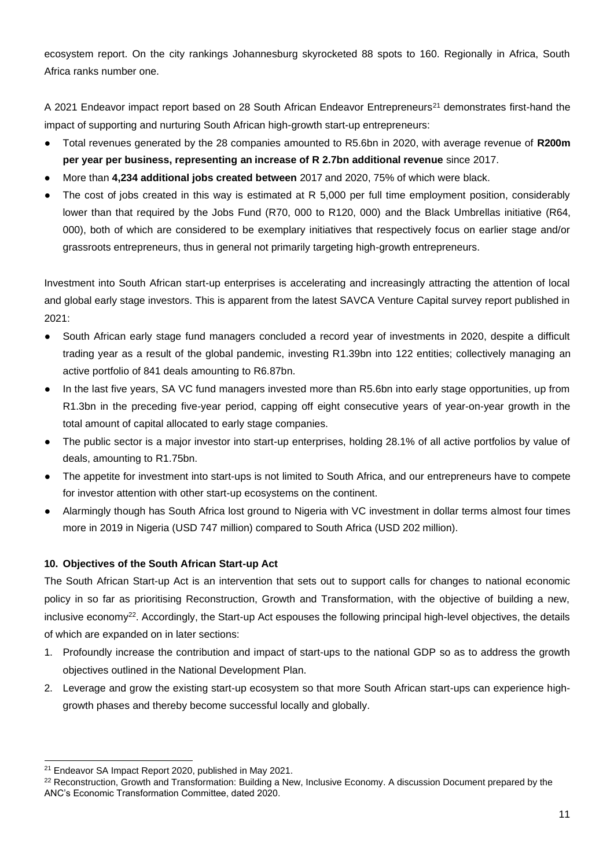ecosystem report. On the city rankings Johannesburg skyrocketed 88 spots to 160. Regionally in Africa, South Africa ranks number one.

A 2021 Endeavor impact report based on 28 South African Endeavor Entrepreneurs<sup>21</sup> demonstrates first-hand the impact of supporting and nurturing South African high-growth start-up entrepreneurs:

- Total revenues generated by the 28 companies amounted to R5.6bn in 2020, with average revenue of **R200m per year per business, representing an increase of R 2.7bn additional revenue** since 2017.
- More than **4,234 additional jobs created between** 2017 and 2020, 75% of which were black.
- The cost of jobs created in this way is estimated at R 5,000 per full time employment position, considerably lower than that required by the Jobs Fund (R70, 000 to R120, 000) and the Black Umbrellas initiative (R64, 000), both of which are considered to be exemplary initiatives that respectively focus on earlier stage and/or grassroots entrepreneurs, thus in general not primarily targeting high-growth entrepreneurs.

Investment into South African start-up enterprises is accelerating and increasingly attracting the attention of local and global early stage investors. This is apparent from the latest SAVCA Venture Capital survey report published in 2021:

- South African early stage fund managers concluded a record year of investments in 2020, despite a difficult trading year as a result of the global pandemic, investing R1.39bn into 122 entities; collectively managing an active portfolio of 841 deals amounting to R6.87bn.
- In the last five years, SA VC fund managers invested more than R5.6bn into early stage opportunities, up from R1.3bn in the preceding five-year period, capping off eight consecutive years of year-on-year growth in the total amount of capital allocated to early stage companies.
- The public sector is a major investor into start-up enterprises, holding 28.1% of all active portfolios by value of deals, amounting to R1.75bn.
- The appetite for investment into start-ups is not limited to South Africa, and our entrepreneurs have to compete for investor attention with other start-up ecosystems on the continent.
- Alarmingly though has South Africa lost ground to Nigeria with VC investment in dollar terms almost four times more in 2019 in Nigeria (USD 747 million) compared to South Africa (USD 202 million).

### **10. Objectives of the South African Start-up Act**

The South African Start-up Act is an intervention that sets out to support calls for changes to national economic policy in so far as prioritising Reconstruction, Growth and Transformation, with the objective of building a new, inclusive economy<sup>22</sup>. Accordingly, the Start-up Act espouses the following principal high-level objectives, the details of which are expanded on in later sections:

- 1. Profoundly increase the contribution and impact of start-ups to the national GDP so as to address the growth objectives outlined in the National Development Plan.
- 2. Leverage and grow the existing start-up ecosystem so that more South African start-ups can experience highgrowth phases and thereby become successful locally and globally.

<sup>21</sup> Endeavor SA Impact Report 2020, published in May 2021.

<sup>&</sup>lt;sup>22</sup> Reconstruction, Growth and Transformation: Building a New, Inclusive Economy. A discussion Document prepared by the ANC's Economic Transformation Committee, dated 2020.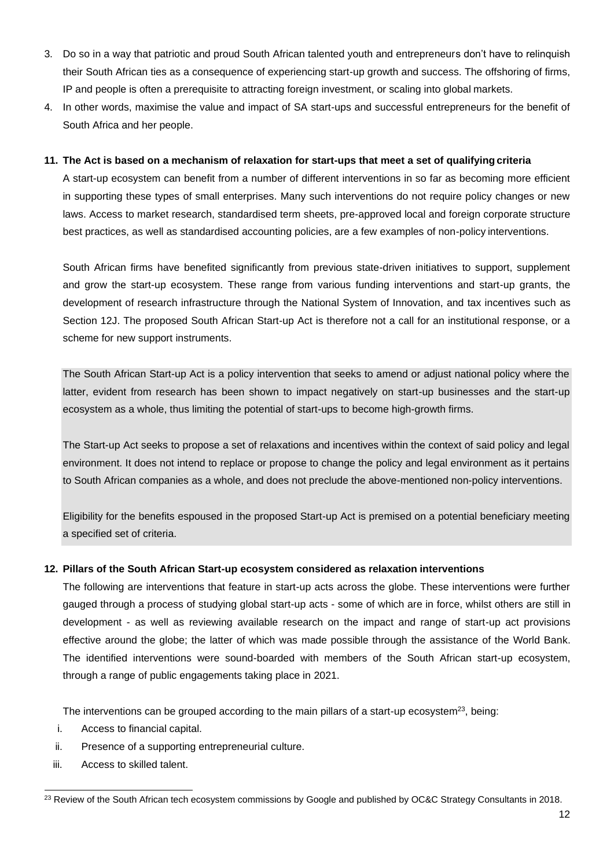- 3. Do so in a way that patriotic and proud South African talented youth and entrepreneurs don't have to relinquish their South African ties as a consequence of experiencing start-up growth and success. The offshoring of firms, IP and people is often a prerequisite to attracting foreign investment, or scaling into global markets.
- 4. In other words, maximise the value and impact of SA start-ups and successful entrepreneurs for the benefit of South Africa and her people.

#### **11. The Act is based on a mechanism of relaxation for start-ups that meet a set of qualifying criteria**

A start-up ecosystem can benefit from a number of different interventions in so far as becoming more efficient in supporting these types of small enterprises. Many such interventions do not require policy changes or new laws. Access to market research, standardised term sheets, pre-approved local and foreign corporate structure best practices, as well as standardised accounting policies, are a few examples of non-policy interventions.

South African firms have benefited significantly from previous state-driven initiatives to support, supplement and grow the start-up ecosystem. These range from various funding interventions and start-up grants, the development of research infrastructure through the National System of Innovation, and tax incentives such as Section 12J. The proposed South African Start-up Act is therefore not a call for an institutional response, or a scheme for new support instruments.

The South African Start-up Act is a policy intervention that seeks to amend or adjust national policy where the latter, evident from research has been shown to impact negatively on start-up businesses and the start-up ecosystem as a whole, thus limiting the potential of start-ups to become high-growth firms.

The Start-up Act seeks to propose a set of relaxations and incentives within the context of said policy and legal environment. It does not intend to replace or propose to change the policy and legal environment as it pertains to South African companies as a whole, and does not preclude the above-mentioned non-policy interventions.

Eligibility for the benefits espoused in the proposed Start-up Act is premised on a potential beneficiary meeting a specified set of criteria.

#### **12. Pillars of the South African Start-up ecosystem considered as relaxation interventions**

The following are interventions that feature in start-up acts across the globe. These interventions were further gauged through a process of studying global start-up acts - some of which are in force, whilst others are still in development - as well as reviewing available research on the impact and range of start-up act provisions effective around the globe; the latter of which was made possible through the assistance of the World Bank. The identified interventions were sound-boarded with members of the South African start-up ecosystem, through a range of public engagements taking place in 2021.

The interventions can be grouped according to the main pillars of a start-up ecosystem<sup>23</sup>, being:

- i. Access to financial capital.
- ii. Presence of a supporting entrepreneurial culture.
- iii. Access to skilled talent.

<sup>&</sup>lt;sup>23</sup> Review of the South African tech ecosystem commissions by Google and published by OC&C Strategy Consultants in 2018.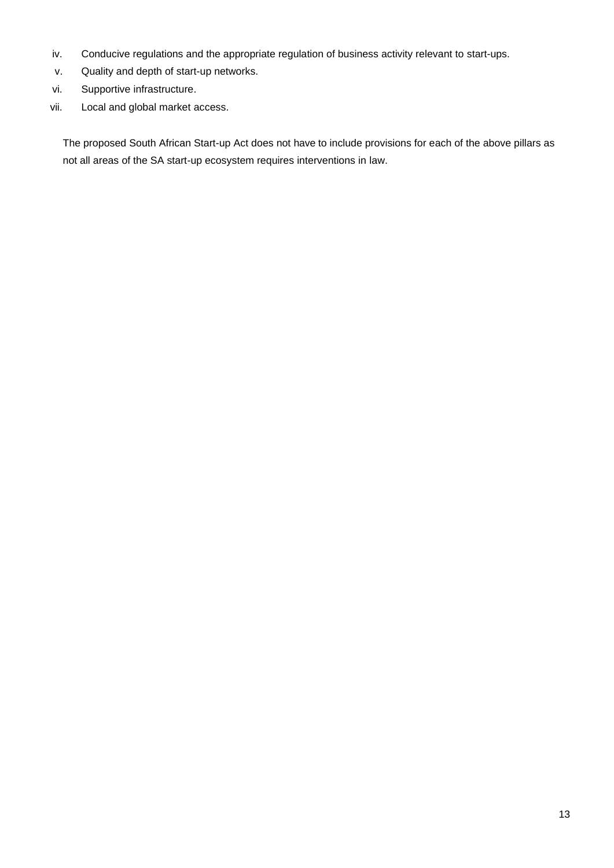- iv. Conducive regulations and the appropriate regulation of business activity relevant to start-ups.
- v. Quality and depth of start-up networks.
- vi. Supportive infrastructure.
- vii. Local and global market access.

The proposed South African Start-up Act does not have to include provisions for each of the above pillars as not all areas of the SA start-up ecosystem requires interventions in law.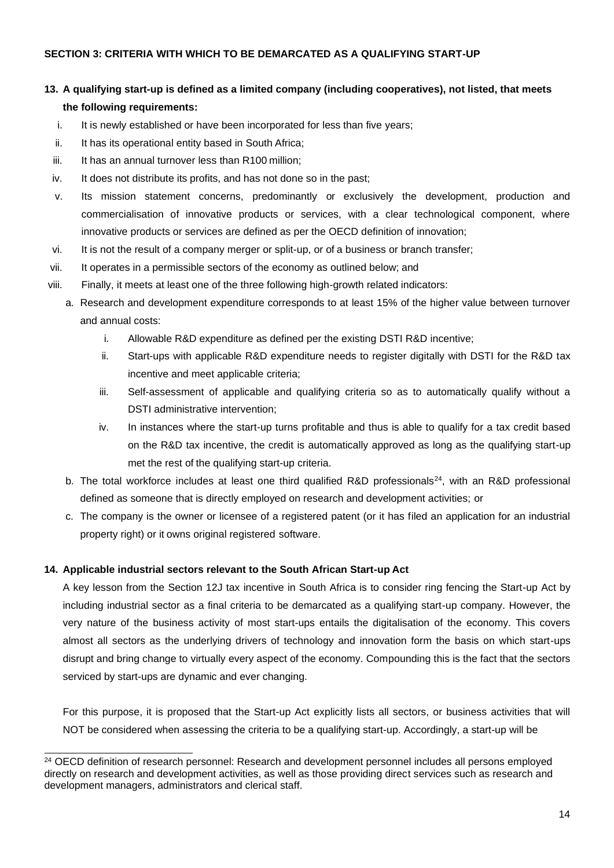# **13. A qualifying start-up is defined as a limited company (including cooperatives), not listed, that meets the following requirements:**

- i. It is newly established or have been incorporated for less than five years;
- ii. It has its operational entity based in South Africa;
- iii. It has an annual turnover less than R100 million;
- iv. It does not distribute its profits, and has not done so in the past;
- v. Its mission statement concerns, predominantly or exclusively the development, production and commercialisation of innovative products or services, with a clear technological component, where innovative products or services are defined as per the OECD definition of innovation;
- vi. It is not the result of a company merger or split-up, or of a business or branch transfer;
- vii. It operates in a permissible sectors of the economy as outlined below; and
- viii. Finally, it meets at least one of the three following high-growth related indicators:
	- a. Research and development expenditure corresponds to at least 15% of the higher value between turnover and annual costs:
		- i. Allowable R&D expenditure as defined per the existing DSTI R&D incentive;
		- ii. Start-ups with applicable R&D expenditure needs to register digitally with DSTI for the R&D tax incentive and meet applicable criteria;
		- iii. Self-assessment of applicable and qualifying criteria so as to automatically qualify without a DSTI administrative intervention;
		- iv. In instances where the start-up turns profitable and thus is able to qualify for a tax credit based on the R&D tax incentive, the credit is automatically approved as long as the qualifying start-up met the rest of the qualifying start-up criteria.
		- b. The total workforce includes at least one third qualified R&D professionals<sup>24</sup>, with an R&D professional defined as someone that is directly employed on research and development activities; or
		- c. The company is the owner or licensee of a registered patent (or it has filed an application for an industrial property right) or it owns original registered software.

#### **14. Applicable industrial sectors relevant to the South African Start-up Act**

A key lesson from the Section 12J tax incentive in South Africa is to consider ring fencing the Start-up Act by including industrial sector as a final criteria to be demarcated as a qualifying start-up company. However, the very nature of the business activity of most start-ups entails the digitalisation of the economy. This covers almost all sectors as the underlying drivers of technology and innovation form the basis on which start-ups disrupt and bring change to virtually every aspect of the economy. Compounding this is the fact that the sectors serviced by start-ups are dynamic and ever changing.

For this purpose, it is proposed that the Start-up Act explicitly lists all sectors, or business activities that will NOT be considered when assessing the criteria to be a qualifying start-up. Accordingly, a start-up will be

<sup>&</sup>lt;sup>24</sup> OECD definition of research personnel: Research and development personnel includes all persons employed directly on research and development activities, as well as those providing direct services such as research and development managers, administrators and clerical staff.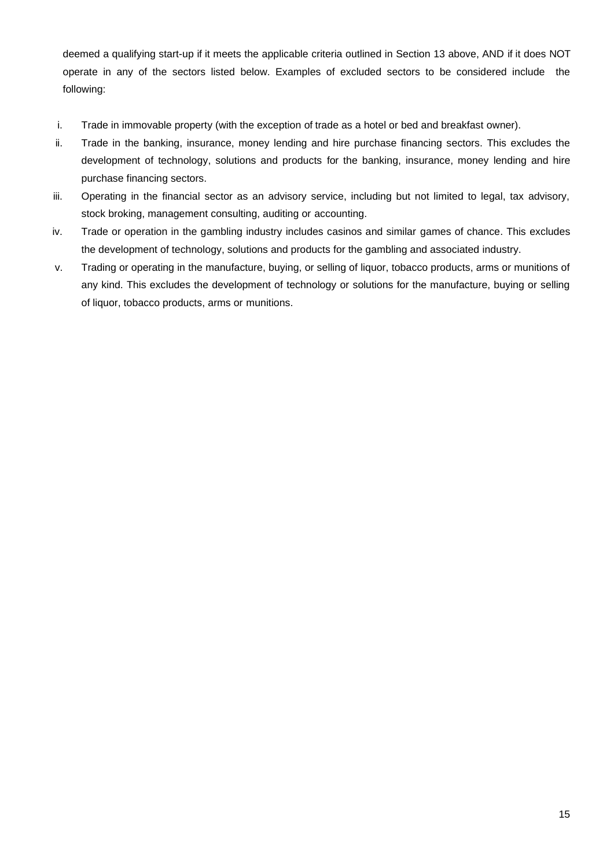deemed a qualifying start-up if it meets the applicable criteria outlined in Section 13 above, AND if it does NOT operate in any of the sectors listed below. Examples of excluded sectors to be considered include the following:

- i. Trade in immovable property (with the exception of trade as a hotel or bed and breakfast owner).
- ii. Trade in the banking, insurance, money lending and hire purchase financing sectors. This excludes the development of technology, solutions and products for the banking, insurance, money lending and hire purchase financing sectors.
- iii. Operating in the financial sector as an advisory service, including but not limited to legal, tax advisory, stock broking, management consulting, auditing or accounting.
- iv. Trade or operation in the gambling industry includes casinos and similar games of chance. This excludes the development of technology, solutions and products for the gambling and associated industry.
- v. Trading or operating in the manufacture, buying, or selling of liquor, tobacco products, arms or munitions of any kind. This excludes the development of technology or solutions for the manufacture, buying or selling of liquor, tobacco products, arms or munitions.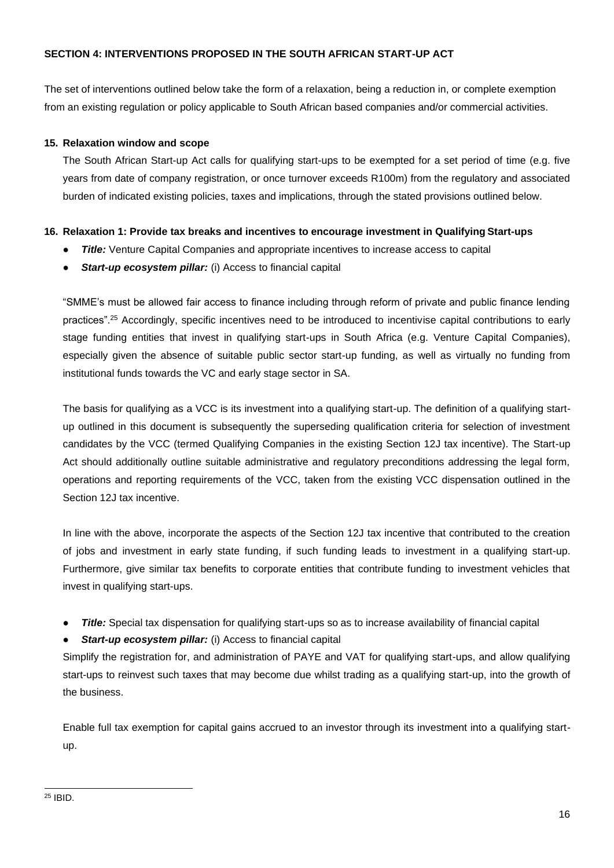#### **SECTION 4: INTERVENTIONS PROPOSED IN THE SOUTH AFRICAN START-UP ACT**

The set of interventions outlined below take the form of a relaxation, being a reduction in, or complete exemption from an existing regulation or policy applicable to South African based companies and/or commercial activities.

#### **15. Relaxation window and scope**

The South African Start-up Act calls for qualifying start-ups to be exempted for a set period of time (e.g. five years from date of company registration, or once turnover exceeds R100m) from the regulatory and associated burden of indicated existing policies, taxes and implications, through the stated provisions outlined below.

#### **16. Relaxation 1: Provide tax breaks and incentives to encourage investment in Qualifying Start-ups**

- *Title:* Venture Capital Companies and appropriate incentives to increase access to capital
- **Start-up ecosystem pillar:** (i) Access to financial capital

"SMME's must be allowed fair access to finance including through reform of private and public finance lending practices".<sup>25</sup> Accordingly, specific incentives need to be introduced to incentivise capital contributions to early stage funding entities that invest in qualifying start-ups in South Africa (e.g. Venture Capital Companies), especially given the absence of suitable public sector start-up funding, as well as virtually no funding from institutional funds towards the VC and early stage sector in SA.

The basis for qualifying as a VCC is its investment into a qualifying start-up. The definition of a qualifying startup outlined in this document is subsequently the superseding qualification criteria for selection of investment candidates by the VCC (termed Qualifying Companies in the existing Section 12J tax incentive). The Start-up Act should additionally outline suitable administrative and regulatory preconditions addressing the legal form, operations and reporting requirements of the VCC, taken from the existing VCC dispensation outlined in the Section 12J tax incentive.

In line with the above, incorporate the aspects of the Section 12J tax incentive that contributed to the creation of jobs and investment in early state funding, if such funding leads to investment in a qualifying start-up. Furthermore, give similar tax benefits to corporate entities that contribute funding to investment vehicles that invest in qualifying start-ups.

- **Title:** Special tax dispensation for qualifying start-ups so as to increase availability of financial capital
- **Start-up ecosystem pillar:** (i) Access to financial capital

Simplify the registration for, and administration of PAYE and VAT for qualifying start-ups, and allow qualifying start-ups to reinvest such taxes that may become due whilst trading as a qualifying start-up, into the growth of the business.

Enable full tax exemption for capital gains accrued to an investor through its investment into a qualifying startup.

<sup>25</sup> IBID.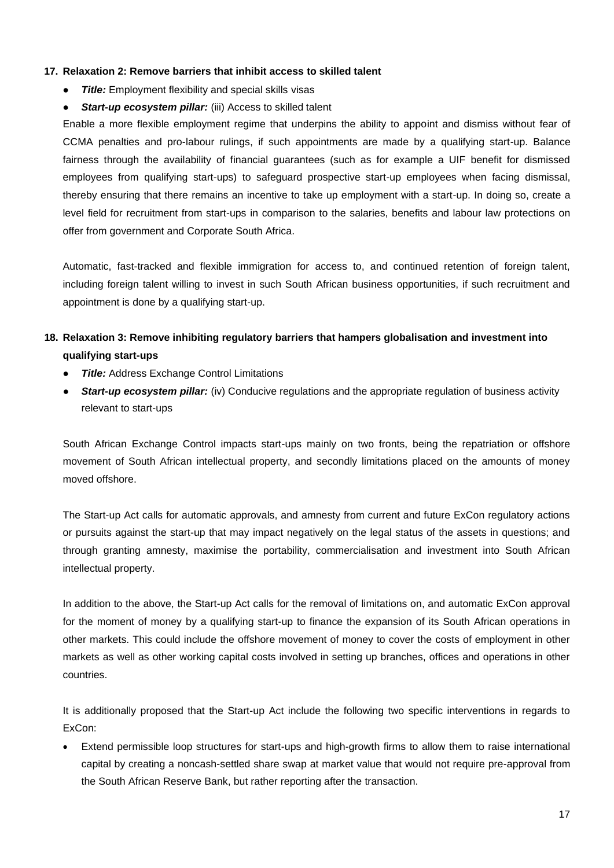#### **17. Relaxation 2: Remove barriers that inhibit access to skilled talent**

- **Title:** Employment flexibility and special skills visas
- **Start-up ecosystem pillar:** (iii) Access to skilled talent

Enable a more flexible employment regime that underpins the ability to appoint and dismiss without fear of CCMA penalties and pro-labour rulings, if such appointments are made by a qualifying start-up. Balance fairness through the availability of financial guarantees (such as for example a UIF benefit for dismissed employees from qualifying start-ups) to safeguard prospective start-up employees when facing dismissal, thereby ensuring that there remains an incentive to take up employment with a start-up. In doing so, create a level field for recruitment from start-ups in comparison to the salaries, benefits and labour law protections on offer from government and Corporate South Africa.

Automatic, fast-tracked and flexible immigration for access to, and continued retention of foreign talent, including foreign talent willing to invest in such South African business opportunities, if such recruitment and appointment is done by a qualifying start-up.

# **18. Relaxation 3: Remove inhibiting regulatory barriers that hampers globalisation and investment into qualifying start-ups**

- **Title:** Address Exchange Control Limitations
- *Start-up ecosystem pillar:* (iv) Conducive regulations and the appropriate regulation of business activity relevant to start-ups

South African Exchange Control impacts start-ups mainly on two fronts, being the repatriation or offshore movement of South African intellectual property, and secondly limitations placed on the amounts of money moved offshore.

The Start-up Act calls for automatic approvals, and amnesty from current and future ExCon regulatory actions or pursuits against the start-up that may impact negatively on the legal status of the assets in questions; and through granting amnesty, maximise the portability, commercialisation and investment into South African intellectual property.

In addition to the above, the Start-up Act calls for the removal of limitations on, and automatic ExCon approval for the moment of money by a qualifying start-up to finance the expansion of its South African operations in other markets. This could include the offshore movement of money to cover the costs of employment in other markets as well as other working capital costs involved in setting up branches, offices and operations in other countries.

It is additionally proposed that the Start-up Act include the following two specific interventions in regards to ExCon:

• Extend permissible loop structures for start-ups and high-growth firms to allow them to raise international capital by creating a noncash-settled share swap at market value that would not require pre-approval from the South African Reserve Bank, but rather reporting after the transaction.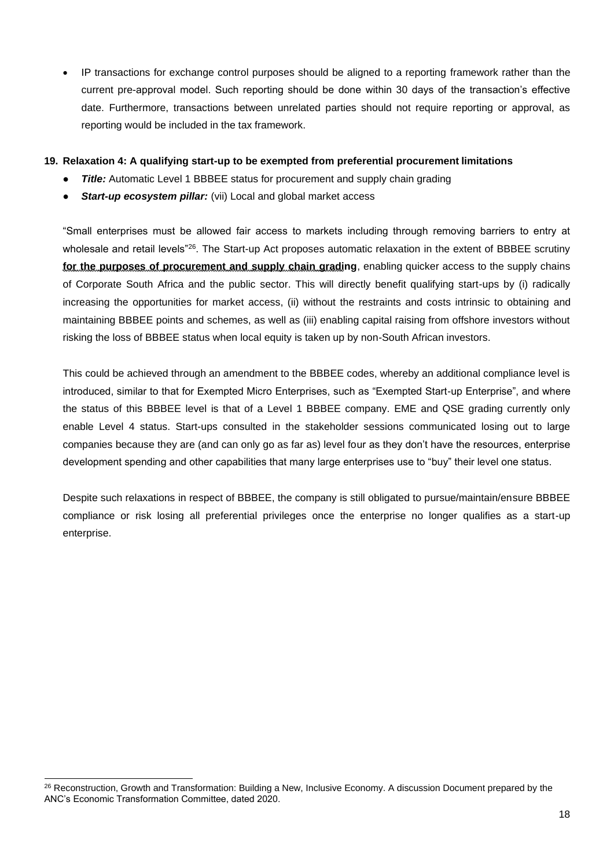IP transactions for exchange control purposes should be aligned to a reporting framework rather than the current pre-approval model. Such reporting should be done within 30 days of the transaction's effective date. Furthermore, transactions between unrelated parties should not require reporting or approval, as reporting would be included in the tax framework.

#### **19. Relaxation 4: A qualifying start-up to be exempted from preferential procurement limitations**

- **Title:** Automatic Level 1 BBBEE status for procurement and supply chain grading
- **Start-up ecosystem pillar:** (vii) Local and global market access

"Small enterprises must be allowed fair access to markets including through removing barriers to entry at wholesale and retail levels<sup>"26</sup>. The Start-up Act proposes automatic relaxation in the extent of BBBEE scrutiny **for the purposes of procurement and supply chain grading**, enabling quicker access to the supply chains of Corporate South Africa and the public sector. This will directly benefit qualifying start-ups by (i) radically increasing the opportunities for market access, (ii) without the restraints and costs intrinsic to obtaining and maintaining BBBEE points and schemes, as well as (iii) enabling capital raising from offshore investors without risking the loss of BBBEE status when local equity is taken up by non-South African investors.

This could be achieved through an amendment to the BBBEE codes, whereby an additional compliance level is introduced, similar to that for Exempted Micro Enterprises, such as "Exempted Start-up Enterprise", and where the status of this BBBEE level is that of a Level 1 BBBEE company. EME and QSE grading currently only enable Level 4 status. Start-ups consulted in the stakeholder sessions communicated losing out to large companies because they are (and can only go as far as) level four as they don't have the resources, enterprise development spending and other capabilities that many large enterprises use to "buy" their level one status.

Despite such relaxations in respect of BBBEE, the company is still obligated to pursue/maintain/ensure BBBEE compliance or risk losing all preferential privileges once the enterprise no longer qualifies as a start-up enterprise.

<sup>&</sup>lt;sup>26</sup> Reconstruction, Growth and Transformation: Building a New, Inclusive Economy. A discussion Document prepared by the ANC's Economic Transformation Committee, dated 2020.